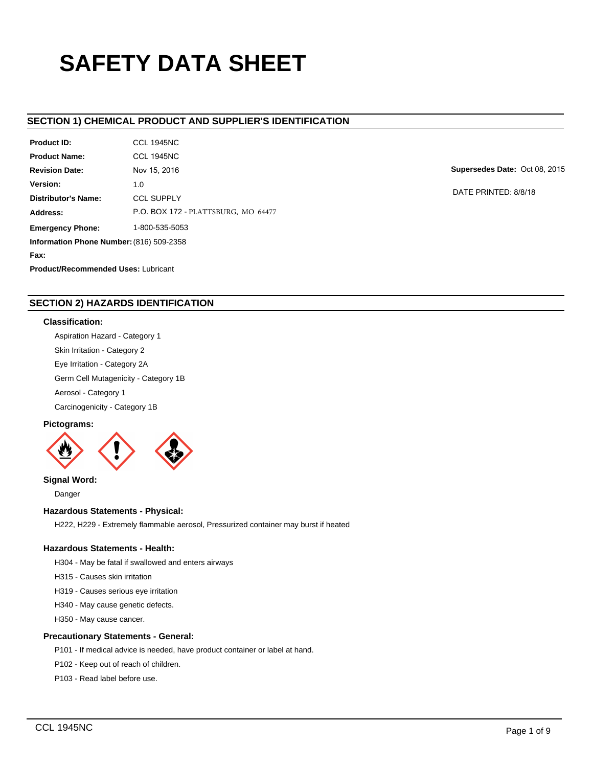# **SAFETY DATA SHEET**

# **SECTION 1) CHEMICAL PRODUCT AND SUPPLIER'S IDENTIFICATION**

| <b>Product ID:</b>                         | <b>CCL 1945NC</b>                   |  |  |  |
|--------------------------------------------|-------------------------------------|--|--|--|
| <b>Product Name:</b>                       | <b>CCL 1945NC</b>                   |  |  |  |
| <b>Revision Date:</b>                      | Nov 15, 2016                        |  |  |  |
| Version:                                   | 1.0                                 |  |  |  |
| <b>Distributor's Name:</b>                 | <b>CCL SUPPLY</b>                   |  |  |  |
| Address:                                   | P.O. BOX 172 - PLATTSBURG, MO 64477 |  |  |  |
| <b>Emergency Phone:</b>                    | 1-800-535-5053                      |  |  |  |
| Information Phone Number: (816) 509-2358   |                                     |  |  |  |
| Fax:                                       |                                     |  |  |  |
| <b>Product/Recommended Uses: Lubricant</b> |                                     |  |  |  |

**Supersedes Date:** Oct 08, 2015

DATE PRINTED: 8/8/18

# **SECTION 2) HAZARDS IDENTIFICATION**

## **Classification:**

Aspiration Hazard - Category 1

Skin Irritation - Category 2

Eye Irritation - Category 2A

Germ Cell Mutagenicity - Category 1B

Aerosol - Category 1

Carcinogenicity - Category 1B

# **Pictograms:**



**Signal Word:**

Danger

# **Hazardous Statements - Physical:**

H222, H229 - Extremely flammable aerosol, Pressurized container may burst if heated

# **Hazardous Statements - Health:**

H304 - May be fatal if swallowed and enters airways

H315 - Causes skin irritation

H319 - Causes serious eye irritation

H340 - May cause genetic defects.

H350 - May cause cancer.

# **Precautionary Statements - General:**

P101 - If medical advice is needed, have product container or label at hand.

P102 - Keep out of reach of children.

P103 - Read label before use.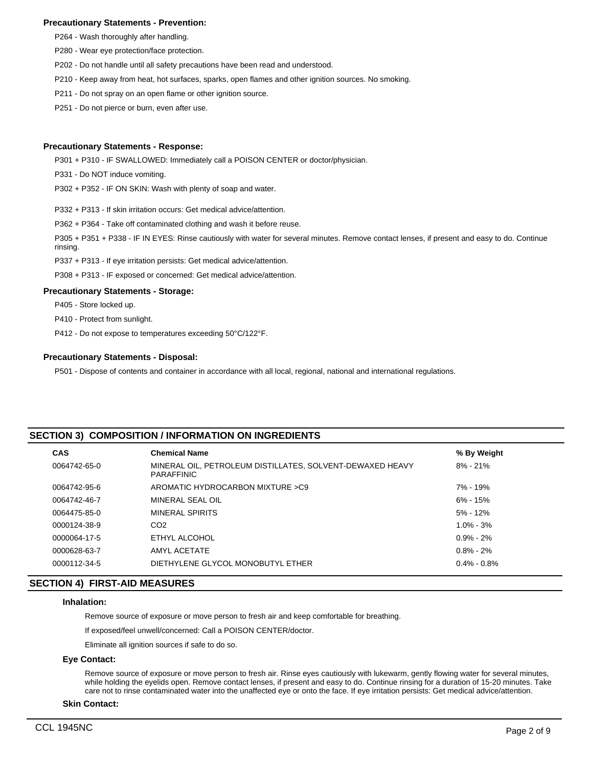## **Precautionary Statements - Prevention:**

- P264 Wash thoroughly after handling.
- P280 Wear eye protection/face protection.
- P202 Do not handle until all safety precautions have been read and understood.
- P210 Keep away from heat, hot surfaces, sparks, open flames and other ignition sources. No smoking.
- P211 Do not spray on an open flame or other ignition source.
- P251 Do not pierce or burn, even after use.

## **Precautionary Statements - Response:**

P301 + P310 - IF SWALLOWED: Immediately call a POISON CENTER or doctor/physician.

P331 - Do NOT induce vomiting.

P302 + P352 - IF ON SKIN: Wash with plenty of soap and water.

P332 + P313 - If skin irritation occurs: Get medical advice/attention.

P362 + P364 - Take off contaminated clothing and wash it before reuse.

P305 + P351 + P338 - IF IN EYES: Rinse cautiously with water for several minutes. Remove contact lenses, if present and easy to do. Continue rinsing.

P337 + P313 - If eye irritation persists: Get medical advice/attention.

P308 + P313 - IF exposed or concerned: Get medical advice/attention.

## **Precautionary Statements - Storage:**

P405 - Store locked up.

P410 - Protect from sunlight.

P412 - Do not expose to temperatures exceeding 50°C/122°F.

## **Precautionary Statements - Disposal:**

P501 - Dispose of contents and container in accordance with all local, regional, national and international regulations.

# **SECTION 3) COMPOSITION / INFORMATION ON INGREDIENTS**

| <b>CAS</b>   | <b>Chemical Name</b>                                                           | % By Weight     |
|--------------|--------------------------------------------------------------------------------|-----------------|
| 0064742-65-0 | MINERAL OIL, PETROLEUM DISTILLATES, SOLVENT-DEWAXED HEAVY<br><b>PARAFFINIC</b> | $8\% - 21\%$    |
| 0064742-95-6 | AROMATIC HYDROCARBON MIXTURE > C9                                              | 7% - 19%        |
| 0064742-46-7 | MINERAL SEAL OIL                                                               | 6% - 15%        |
| 0064475-85-0 | MINERAL SPIRITS                                                                | $5\% - 12\%$    |
| 0000124-38-9 | CO <sub>2</sub>                                                                | $1.0\% - 3\%$   |
| 0000064-17-5 | ETHYL ALCOHOL                                                                  | $0.9\% - 2\%$   |
| 0000628-63-7 | AMYL ACETATE                                                                   | $0.8\% - 2\%$   |
| 0000112-34-5 | DIETHYLENE GLYCOL MONOBUTYL ETHER                                              | $0.4\% - 0.8\%$ |
|              |                                                                                |                 |

# **SECTION 4) FIRST-AID MEASURES**

## **Inhalation:**

Remove source of exposure or move person to fresh air and keep comfortable for breathing.

If exposed/feel unwell/concerned: Call a POISON CENTER/doctor.

Eliminate all ignition sources if safe to do so.

## **Eye Contact:**

Remove source of exposure or move person to fresh air. Rinse eyes cautiously with lukewarm, gently flowing water for several minutes, while holding the eyelids open. Remove contact lenses, if present and easy to do. Continue rinsing for a duration of 15-20 minutes. Take care not to rinse contaminated water into the unaffected eye or onto the face. If eye irritation persists: Get medical advice/attention.

## **Skin Contact:**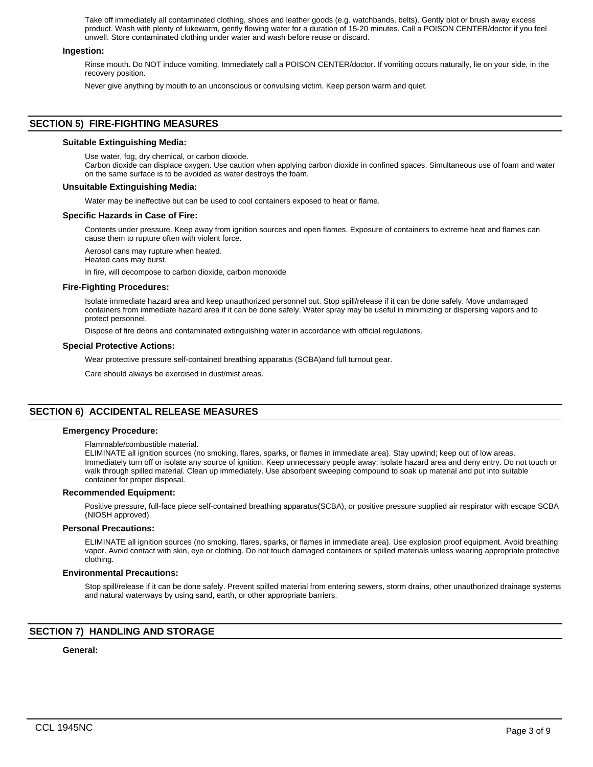Take off immediately all contaminated clothing, shoes and leather goods (e.g. watchbands, belts). Gently blot or brush away excess product. Wash with plenty of lukewarm, gently flowing water for a duration of 15-20 minutes. Call a POISON CENTER/doctor if you feel unwell. Store contaminated clothing under water and wash before reuse or discard.

## **Ingestion:**

Rinse mouth. Do NOT induce vomiting. Immediately call a POISON CENTER/doctor. If vomiting occurs naturally, lie on your side, in the recovery position.

Never give anything by mouth to an unconscious or convulsing victim. Keep person warm and quiet.

# **SECTION 5) FIRE-FIGHTING MEASURES**

## **Suitable Extinguishing Media:**

Use water, fog, dry chemical, or carbon dioxide.

Carbon dioxide can displace oxygen. Use caution when applying carbon dioxide in confined spaces. Simultaneous use of foam and water on the same surface is to be avoided as water destroys the foam.

## **Unsuitable Extinguishing Media:**

Water may be ineffective but can be used to cool containers exposed to heat or flame.

## **Specific Hazards in Case of Fire:**

Contents under pressure. Keep away from ignition sources and open flames. Exposure of containers to extreme heat and flames can cause them to rupture often with violent force.

Aerosol cans may rupture when heated.

Heated cans may burst.

In fire, will decompose to carbon dioxide, carbon monoxide

## **Fire-Fighting Procedures:**

Isolate immediate hazard area and keep unauthorized personnel out. Stop spill/release if it can be done safely. Move undamaged containers from immediate hazard area if it can be done safely. Water spray may be useful in minimizing or dispersing vapors and to protect personnel.

Dispose of fire debris and contaminated extinguishing water in accordance with official regulations.

## **Special Protective Actions:**

Wear protective pressure self-contained breathing apparatus (SCBA)and full turnout gear.

Care should always be exercised in dust/mist areas.

# **SECTION 6) ACCIDENTAL RELEASE MEASURES**

## **Emergency Procedure:**

## Flammable/combustible material.

ELIMINATE all ignition sources (no smoking, flares, sparks, or flames in immediate area). Stay upwind; keep out of low areas. Immediately turn off or isolate any source of ignition. Keep unnecessary people away; isolate hazard area and deny entry. Do not touch or walk through spilled material. Clean up immediately. Use absorbent sweeping compound to soak up material and put into suitable container for proper disposal.

## **Recommended Equipment:**

Positive pressure, full-face piece self-contained breathing apparatus(SCBA), or positive pressure supplied air respirator with escape SCBA (NIOSH approved).

## **Personal Precautions:**

ELIMINATE all ignition sources (no smoking, flares, sparks, or flames in immediate area). Use explosion proof equipment. Avoid breathing vapor. Avoid contact with skin, eye or clothing. Do not touch damaged containers or spilled materials unless wearing appropriate protective clothing.

## **Environmental Precautions:**

Stop spill/release if it can be done safely. Prevent spilled material from entering sewers, storm drains, other unauthorized drainage systems and natural waterways by using sand, earth, or other appropriate barriers.

# **SECTION 7) HANDLING AND STORAGE**

## **General:**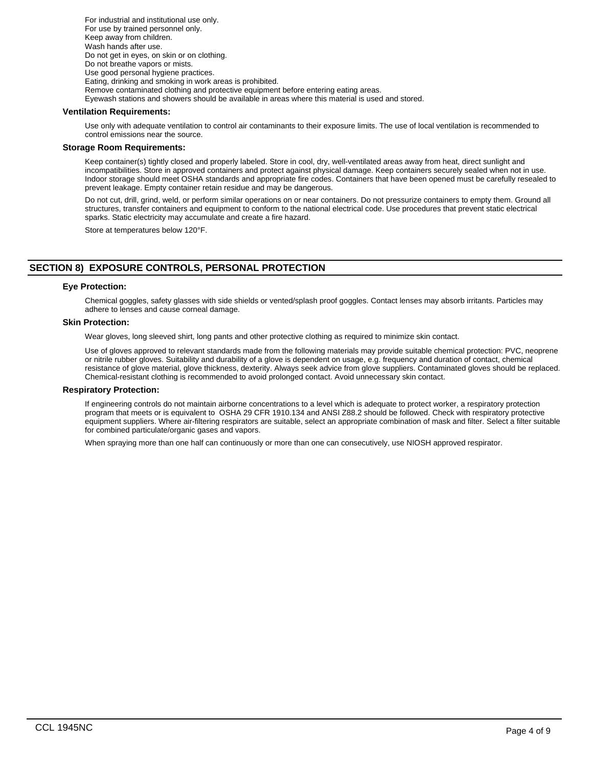For industrial and institutional use only. For use by trained personnel only. Keep away from children. Wash hands after use. Do not get in eyes, on skin or on clothing. Do not breathe vapors or mists. Use good personal hygiene practices. Eating, drinking and smoking in work areas is prohibited. Remove contaminated clothing and protective equipment before entering eating areas. Eyewash stations and showers should be available in areas where this material is used and stored.

## **Ventilation Requirements:**

Use only with adequate ventilation to control air contaminants to their exposure limits. The use of local ventilation is recommended to control emissions near the source.

## **Storage Room Requirements:**

Keep container(s) tightly closed and properly labeled. Store in cool, dry, well-ventilated areas away from heat, direct sunlight and incompatibilities. Store in approved containers and protect against physical damage. Keep containers securely sealed when not in use. Indoor storage should meet OSHA standards and appropriate fire codes. Containers that have been opened must be carefully resealed to prevent leakage. Empty container retain residue and may be dangerous.

Do not cut, drill, grind, weld, or perform similar operations on or near containers. Do not pressurize containers to empty them. Ground all structures, transfer containers and equipment to conform to the national electrical code. Use procedures that prevent static electrical sparks. Static electricity may accumulate and create a fire hazard.

Store at temperatures below 120°F.

# **SECTION 8) EXPOSURE CONTROLS, PERSONAL PROTECTION**

## **Eye Protection:**

Chemical goggles, safety glasses with side shields or vented/splash proof goggles. Contact lenses may absorb irritants. Particles may adhere to lenses and cause corneal damage.

# **Skin Protection:**

Wear gloves, long sleeved shirt, long pants and other protective clothing as required to minimize skin contact.

Use of gloves approved to relevant standards made from the following materials may provide suitable chemical protection: PVC, neoprene or nitrile rubber gloves. Suitability and durability of a glove is dependent on usage, e.g. frequency and duration of contact, chemical resistance of glove material, glove thickness, dexterity. Always seek advice from glove suppliers. Contaminated gloves should be replaced. Chemical-resistant clothing is recommended to avoid prolonged contact. Avoid unnecessary skin contact.

## **Respiratory Protection:**

If engineering controls do not maintain airborne concentrations to a level which is adequate to protect worker, a respiratory protection program that meets or is equivalent to OSHA 29 CFR 1910.134 and ANSI Z88.2 should be followed. Check with respiratory protective equipment suppliers. Where air-filtering respirators are suitable, select an appropriate combination of mask and filter. Select a filter suitable for combined particulate/organic gases and vapors.

When spraying more than one half can continuously or more than one can consecutively, use NIOSH approved respirator.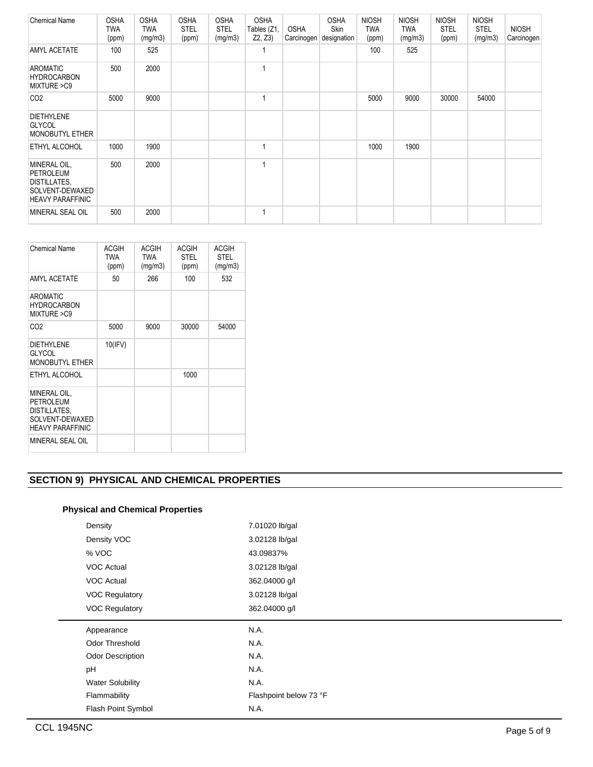| <b>Chemical Name</b>                                                                           | <b>OSHA</b><br><b>TWA</b><br>(ppm) | <b>OSHA</b><br><b>TWA</b><br>(mg/m3) | <b>OSHA</b><br>STEL<br>(ppm) | <b>OSHA</b><br><b>STEL</b><br>(mg/m3) | <b>OSHA</b><br>Tables (Z1,<br>Z2, Z3 | OSHA<br>Carcinogen | <b>OSHA</b><br><b>Skin</b><br>designation | <b>NIOSH</b><br><b>TWA</b><br>(ppm) | <b>NIOSH</b><br>TWA<br>(mg/m3) | <b>NIOSH</b><br><b>STEL</b><br>(ppm) | <b>NIOSH</b><br><b>STEL</b><br>(mg/m3) | <b>NIOSH</b><br>Carcinogen |
|------------------------------------------------------------------------------------------------|------------------------------------|--------------------------------------|------------------------------|---------------------------------------|--------------------------------------|--------------------|-------------------------------------------|-------------------------------------|--------------------------------|--------------------------------------|----------------------------------------|----------------------------|
| AMYL ACETATE                                                                                   | 100                                | 525                                  |                              |                                       | 1                                    |                    |                                           | 100                                 | 525                            |                                      |                                        |                            |
| <b>AROMATIC</b><br><b>HYDROCARBON</b><br>MIXTURE >C9                                           | 500                                | 2000                                 |                              |                                       | 1                                    |                    |                                           |                                     |                                |                                      |                                        |                            |
| CO <sub>2</sub>                                                                                | 5000                               | 9000                                 |                              |                                       | 1                                    |                    |                                           | 5000                                | 9000                           | 30000                                | 54000                                  |                            |
| <b>DIETHYLENE</b><br><b>GLYCOL</b><br>MONOBUTYL ETHER                                          |                                    |                                      |                              |                                       |                                      |                    |                                           |                                     |                                |                                      |                                        |                            |
| ETHYL ALCOHOL                                                                                  | 1000                               | 1900                                 |                              |                                       | 1                                    |                    |                                           | 1000                                | 1900                           |                                      |                                        |                            |
| MINERAL OIL,<br><b>PETROLEUM</b><br>DISTILLATES,<br>SOLVENT-DEWAXED<br><b>HEAVY PARAFFINIC</b> | 500                                | 2000                                 |                              |                                       | 1                                    |                    |                                           |                                     |                                |                                      |                                        |                            |
| MINERAL SEAL OIL                                                                               | 500                                | 2000                                 |                              |                                       | $\mathbf{1}$                         |                    |                                           |                                     |                                |                                      |                                        |                            |

| <b>Chemical Name</b>                                                                    | ACGIH<br>TWA<br>(ppm) | ACGIH<br><b>TWA</b><br>(mg/m3) | <b>ACGIH</b><br><b>STEL</b><br>(ppm) | <b>ACGIH</b><br><b>STEL</b><br>(mg/m3) |
|-----------------------------------------------------------------------------------------|-----------------------|--------------------------------|--------------------------------------|----------------------------------------|
| <b>AMYL ACETATE</b>                                                                     | 50                    | 266                            | 100                                  | 532                                    |
| <b>AROMATIC</b><br><b>HYDROCARBON</b><br>MIXTURE > C9                                   |                       |                                |                                      |                                        |
| CO <sub>2</sub>                                                                         | 5000                  | 9000                           | 30000                                | 54000                                  |
| <b>DIETHYLENE</b><br><b>GLYCOL</b><br><b>MONOBUTYL ETHER</b>                            | 10(IFV)               |                                |                                      |                                        |
| ETHYL ALCOHOL                                                                           |                       |                                | 1000                                 |                                        |
| MINERAL OIL.<br>PETROLEUM<br>DISTILLATES.<br>SOLVENT-DEWAXED<br><b>HEAVY PARAFFINIC</b> |                       |                                |                                      |                                        |
| MINERAL SEAL OIL                                                                        |                       |                                |                                      |                                        |

# **SECTION 9) PHYSICAL AND CHEMICAL PROPERTIES**

# **Physical and Chemical Properties**

| Density                 | 7.01020 lb/gal         |
|-------------------------|------------------------|
| Density VOC             | 3.02128 lb/gal         |
| % VOC                   | 43.09837%              |
| <b>VOC Actual</b>       | 3.02128 lb/gal         |
| <b>VOC Actual</b>       | 362.04000 g/l          |
| <b>VOC Regulatory</b>   | 3.02128 lb/gal         |
| <b>VOC Regulatory</b>   | 362.04000 g/l          |
|                         |                        |
| Appearance              | N.A.                   |
| Odor Threshold          | N.A.                   |
| <b>Odor Description</b> | N.A.                   |
| pH                      | N.A.                   |
| <b>Water Solubility</b> | N.A.                   |
| Flammability            | Flashpoint below 73 °F |
| Flash Point Symbol      | N.A.                   |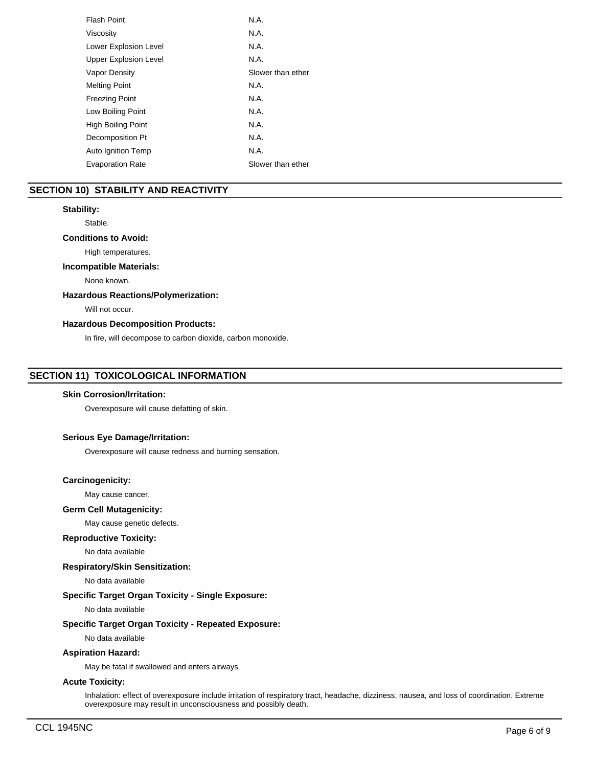| <b>Flash Point</b>           | N.A.              |
|------------------------------|-------------------|
| Viscosity                    | N.A.              |
| Lower Explosion Level        | N.A.              |
| <b>Upper Explosion Level</b> | N.A.              |
| Vapor Density                | Slower than ether |
| <b>Melting Point</b>         | N.A.              |
| <b>Freezing Point</b>        | N.A.              |
| Low Boiling Point            | N.A.              |
| <b>High Boiling Point</b>    | N.A.              |
| Decomposition Pt             | N.A.              |
| Auto Ignition Temp           | N.A.              |
| <b>Evaporation Rate</b>      | Slower than ether |

# **SECTION 10) STABILITY AND REACTIVITY**

## **Stability:**

Stable.

# **Conditions to Avoid:**

High temperatures.

# **Incompatible Materials:**

None known.

## **Hazardous Reactions/Polymerization:**

Will not occur.

# **Hazardous Decomposition Products:**

In fire, will decompose to carbon dioxide, carbon monoxide.

# **SECTION 11) TOXICOLOGICAL INFORMATION**

## **Skin Corrosion/Irritation:**

Overexposure will cause defatting of skin.

# **Serious Eye Damage/Irritation:**

Overexposure will cause redness and burning sensation.

## **Carcinogenicity:**

May cause cancer.

## **Germ Cell Mutagenicity:**

May cause genetic defects.

# **Reproductive Toxicity:**

No data available

# **Respiratory/Skin Sensitization:**

No data available

# **Specific Target Organ Toxicity - Single Exposure:**

No data available

# **Specific Target Organ Toxicity - Repeated Exposure:**

No data available

# **Aspiration Hazard:**

May be fatal if swallowed and enters airways

# **Acute Toxicity:**

Inhalation: effect of overexposure include irritation of respiratory tract, headache, dizziness, nausea, and loss of coordination. Extreme overexposure may result in unconsciousness and possibly death.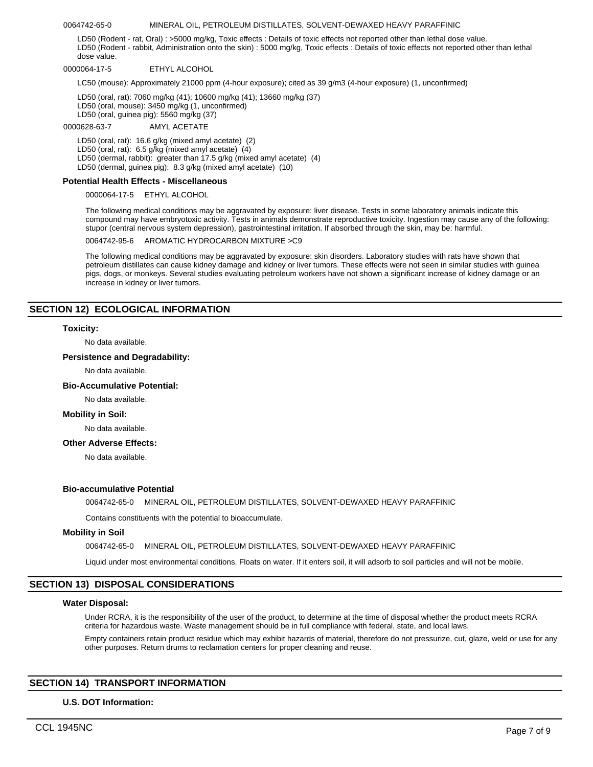## 0064742-65-0 MINERAL OIL, PETROLEUM DISTILLATES, SOLVENT-DEWAXED HEAVY PARAFFINIC

LD50 (Rodent - rat, Oral) : >5000 mg/kg, Toxic effects : Details of toxic effects not reported other than lethal dose value. LD50 (Rodent - rabbit, Administration onto the skin) : 5000 mg/kg, Toxic effects : Details of toxic effects not reported other than lethal dose value.

0000064-17-5 ETHYL ALCOHOL

LC50 (mouse): Approximately 21000 ppm (4-hour exposure); cited as 39 g/m3 (4-hour exposure) (1, unconfirmed)

LD50 (oral, rat): 7060 mg/kg (41); 10600 mg/kg (41); 13660 mg/kg (37) LD50 (oral, mouse): 3450 mg/kg (1, unconfirmed) LD50 (oral, guinea pig): 5560 mg/kg (37)

#### 0000628-63-7 AMYL ACETATE

LD50 (oral, rat): 16.6 g/kg (mixed amyl acetate) (2) LD50 (oral, rat): 6.5 g/kg (mixed amyl acetate) (4) LD50 (dermal, rabbit): greater than 17.5 g/kg (mixed amyl acetate) (4) LD50 (dermal, guinea pig): 8.3 g/kg (mixed amyl acetate) (10)

## **Potential Health Effects - Miscellaneous**

0000064-17-5 ETHYL ALCOHOL

The following medical conditions may be aggravated by exposure: liver disease. Tests in some laboratory animals indicate this compound may have embryotoxic activity. Tests in animals demonstrate reproductive toxicity. Ingestion may cause any of the following: stupor (central nervous system depression), gastrointestinal irritation. If absorbed through the skin, may be: harmful.

0064742-95-6 AROMATIC HYDROCARBON MIXTURE >C9

The following medical conditions may be aggravated by exposure: skin disorders. Laboratory studies with rats have shown that petroleum distillates can cause kidney damage and kidney or liver tumors. These effects were not seen in similar studies with guinea pigs, dogs, or monkeys. Several studies evaluating petroleum workers have not shown a significant increase of kidney damage or an increase in kidney or liver tumors.

# **SECTION 12) ECOLOGICAL INFORMATION**

## **Toxicity:**

No data available.

## **Persistence and Degradability:**

No data available.

## **Bio-Accumulative Potential:**

No data available.

## **Mobility in Soil:**

No data available.

## **Other Adverse Effects:**

No data available.

## **Bio-accumulative Potential**

0064742-65-0 MINERAL OIL, PETROLEUM DISTILLATES, SOLVENT-DEWAXED HEAVY PARAFFINIC

Contains constituents with the potential to bioaccumulate.

## **Mobility in Soil**

0064742-65-0 MINERAL OIL, PETROLEUM DISTILLATES, SOLVENT-DEWAXED HEAVY PARAFFINIC

Liquid under most environmental conditions. Floats on water. If it enters soil, it will adsorb to soil particles and will not be mobile.

# **SECTION 13) DISPOSAL CONSIDERATIONS**

## **Water Disposal:**

Under RCRA, it is the responsibility of the user of the product, to determine at the time of disposal whether the product meets RCRA criteria for hazardous waste. Waste management should be in full compliance with federal, state, and local laws.

Empty containers retain product residue which may exhibit hazards of material, therefore do not pressurize, cut, glaze, weld or use for any other purposes. Return drums to reclamation centers for proper cleaning and reuse.

# **SECTION 14) TRANSPORT INFORMATION**

## **U.S. DOT Information:**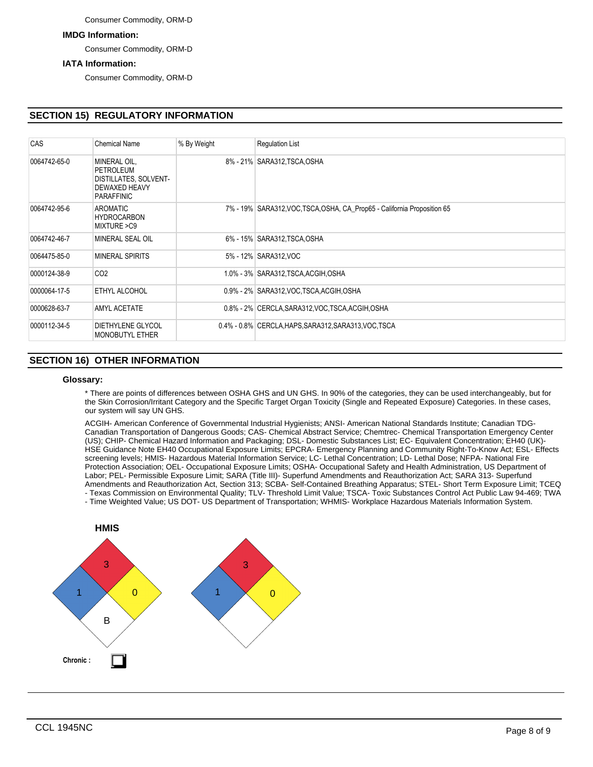## Consumer Commodity, ORM-D

# **IMDG Information:**

Consumer Commodity, ORM-D

# **IATA Information:**

Consumer Commodity, ORM-D

# **SECTION 15) REGULATORY INFORMATION**

| CAS          | <b>Chemical Name</b>                                                                     | % By Weight | <b>Regulation List</b>                                                   |
|--------------|------------------------------------------------------------------------------------------|-------------|--------------------------------------------------------------------------|
| 0064742-65-0 | MINERAL OIL,<br>PETROLEUM<br>DISTILLATES, SOLVENT-<br><b>DEWAXED HEAVY</b><br>PARAFFINIC |             | 8% - 21% SARA312, TSCA, OSHA                                             |
| 0064742-95-6 | AROMATIC<br><b>HYDROCARBON</b><br>MIXTURE > C9                                           |             | 7% - 19% SARA312, VOC, TSCA, OSHA, CA_Prop65 - California Proposition 65 |
| 0064742-46-7 | MINERAL SEAL OIL                                                                         |             | 6% - 15% SARA312, TSCA, OSHA                                             |
| 0064475-85-0 | MINERAL SPIRITS                                                                          |             | 5% - 12% SARA312, VOC                                                    |
| 0000124-38-9 | CO <sub>2</sub>                                                                          |             | 1.0% - 3% SARA312, TSCA, ACGIH, OSHA                                     |
| 0000064-17-5 | <b>ETHYL ALCOHOL</b>                                                                     |             | 0.9% - 2% SARA312, VOC TSCA, ACGIH, OSHA                                 |
| 0000628-63-7 | AMYL ACETATE                                                                             |             | 0.8% - 2% CERCLA, SARA312, VOC, TSCA, ACGIH, OSHA                        |
| 0000112-34-5 | <b>DIETHYLENE GLYCOL</b><br><b>MONOBUTYL ETHER</b>                                       |             | 0.4% - 0.8% CERCLA, HAPS, SARA312, SARA313, VOC, TSCA                    |

# **SECTION 16) OTHER INFORMATION**

## **Glossary:**

\* There are points of differences between OSHA GHS and UN GHS. In 90% of the categories, they can be used interchangeably, but for the Skin Corrosion/Irritant Category and the Specific Target Organ Toxicity (Single and Repeated Exposure) Categories. In these cases, our system will say UN GHS.

ACGIH- American Conference of Governmental Industrial Hygienists; ANSI- American National Standards Institute; Canadian TDG-Canadian Transportation of Dangerous Goods; CAS- Chemical Abstract Service; Chemtrec- Chemical Transportation Emergency Center (US); CHIP- Chemical Hazard Information and Packaging; DSL- Domestic Substances List; EC- Equivalent Concentration; EH40 (UK)- HSE Guidance Note EH40 Occupational Exposure Limits; EPCRA- Emergency Planning and Community Right-To-Know Act; ESL- Effects screening levels; HMIS- Hazardous Material Information Service; LC- Lethal Concentration; LD- Lethal Dose; NFPA- National Fire Protection Association; OEL- Occupational Exposure Limits; OSHA- Occupational Safety and Health Administration, US Department of Labor; PEL- Permissible Exposure Limit; SARA (Title III)- Superfund Amendments and Reauthorization Act; SARA 313- Superfund Amendments and Reauthorization Act, Section 313; SCBA- Self-Contained Breathing Apparatus; STEL- Short Term Exposure Limit; TCEQ - Texas Commission on Environmental Quality; TLV- Threshold Limit Value; TSCA- Toxic Substances Control Act Public Law 94-469; TWA

- Time Weighted Value; US DOT- US Department of Transportation; WHMIS- Workplace Hazardous Materials Information System.